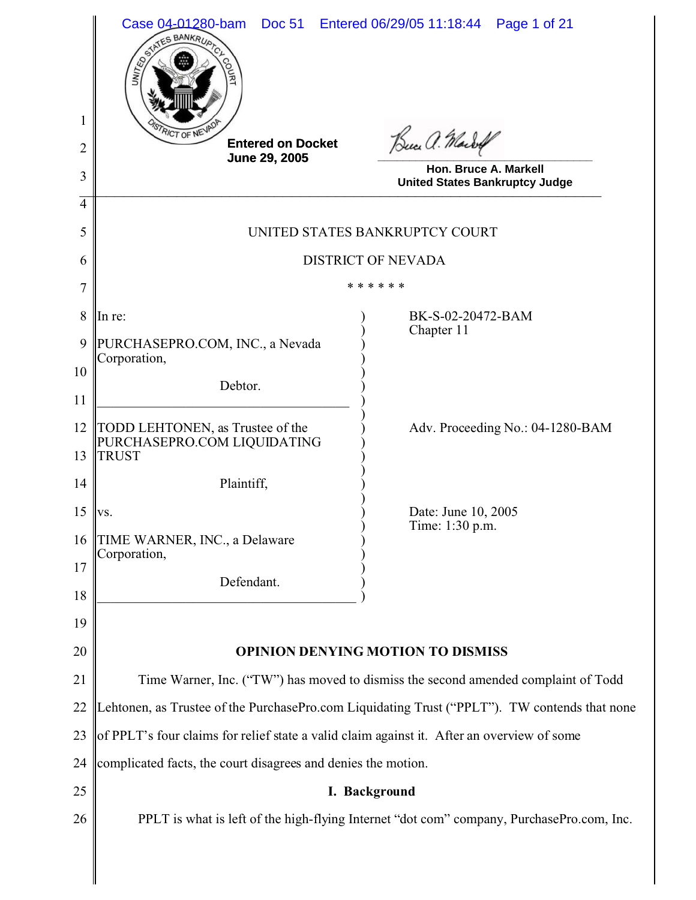|                     | Case 04-01280-bam<br>STATES BANKRUP<br>UNITED                                                 | Doc 51 Entered 06/29/05 11:18:44<br>Page 1 of 21                                   |  |  |
|---------------------|-----------------------------------------------------------------------------------------------|------------------------------------------------------------------------------------|--|--|
| 1                   | <b>RICT OF NE</b><br><b>Entered on Docket</b>                                                 | Buce a. Marbof                                                                     |  |  |
| $\overline{2}$      | June 29, 2005                                                                                 | Hon. Bruce A. Markell                                                              |  |  |
| 3                   |                                                                                               | <b>United States Bankruptcy Judge</b>                                              |  |  |
| $\overline{4}$<br>5 | UNITED STATES BANKRUPTCY COURT                                                                |                                                                                    |  |  |
| 6                   |                                                                                               | <b>DISTRICT OF NEVADA</b>                                                          |  |  |
| 7                   | * * * * * *                                                                                   |                                                                                    |  |  |
| 8                   | In re:                                                                                        | BK-S-02-20472-BAM                                                                  |  |  |
| 9                   | PURCHASEPRO.COM, INC., a Nevada<br>Corporation,                                               | Chapter 11                                                                         |  |  |
| 10                  | Debtor.                                                                                       |                                                                                    |  |  |
| 11                  |                                                                                               |                                                                                    |  |  |
| 12<br>13            | TODD LEHTONEN, as Trustee of the<br>PURCHASEPRO.COM LIQUIDATING<br><b>TRUST</b>               | Adv. Proceeding No.: 04-1280-BAM                                                   |  |  |
| 14                  | Plaintiff,                                                                                    |                                                                                    |  |  |
| 15                  | VS.                                                                                           | Date: June 10, 2005                                                                |  |  |
| 16                  | TIME WARNER, INC., a Delaware                                                                 | Time: 1:30 p.m.                                                                    |  |  |
| 17                  | Corporation,                                                                                  |                                                                                    |  |  |
| 18                  | Defendant.                                                                                    |                                                                                    |  |  |
| 19                  |                                                                                               |                                                                                    |  |  |
| 20                  | <b>OPINION DENYING MOTION TO DISMISS</b>                                                      |                                                                                    |  |  |
| 21                  |                                                                                               | Time Warner, Inc. ("TW") has moved to dismiss the second amended complaint of Todd |  |  |
| 22                  | Lehtonen, as Trustee of the PurchasePro.com Liquidating Trust ("PPLT"). TW contends that none |                                                                                    |  |  |
| 23                  | of PPLT's four claims for relief state a valid claim against it. After an overview of some    |                                                                                    |  |  |
| 24                  | complicated facts, the court disagrees and denies the motion.                                 |                                                                                    |  |  |
| 25                  | I. Background                                                                                 |                                                                                    |  |  |
| 26                  | PPLT is what is left of the high-flying Internet "dot com" company, PurchasePro.com, Inc.     |                                                                                    |  |  |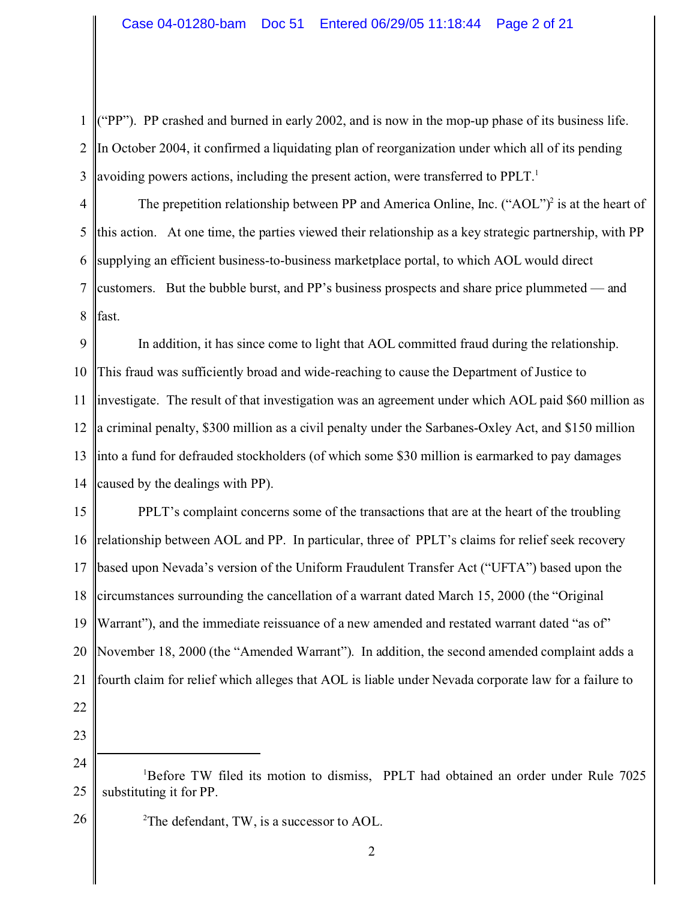1 2 3 ("PP"). PP crashed and burned in early 2002, and is now in the mop-up phase of its business life. In October 2004, it confirmed a liquidating plan of reorganization under which all of its pending avoiding powers actions, including the present action, were transferred to  $PPLT<sup>1</sup>$ 

4 5 6 7 8 The prepetition relationship between PP and America Online, Inc.  $("AOL")^2$  is at the heart of this action. At one time, the parties viewed their relationship as a key strategic partnership, with PP supplying an efficient business-to-business marketplace portal, to which AOL would direct customers. But the bubble burst, and PP's business prospects and share price plummeted — and fast.

9 10 11 12 13 14 In addition, it has since come to light that AOL committed fraud during the relationship. This fraud was sufficiently broad and wide-reaching to cause the Department of Justice to investigate. The result of that investigation was an agreement under which AOL paid \$60 million as a criminal penalty, \$300 million as a civil penalty under the Sarbanes-Oxley Act, and \$150 million into a fund for defrauded stockholders (of which some \$30 million is earmarked to pay damages caused by the dealings with PP).

15 16 17 18 19 20 21 PPLT's complaint concerns some of the transactions that are at the heart of the troubling relationship between AOL and PP. In particular, three of PPLT's claims for relief seek recovery based upon Nevada's version of the Uniform Fraudulent Transfer Act ("UFTA") based upon the circumstances surrounding the cancellation of a warrant dated March 15, 2000 (the "Original Warrant"), and the immediate reissuance of a new amended and restated warrant dated "as of" November 18, 2000 (the "Amended Warrant"). In addition, the second amended complaint adds a fourth claim for relief which alleges that AOL is liable under Nevada corporate law for a failure to

22 23

26  ${}^{2}$ The defendant, TW, is a successor to AOL.

<sup>24</sup> 25 <sup>1</sup>Before TW filed its motion to dismiss, PPLT had obtained an order under Rule 7025 substituting it for PP.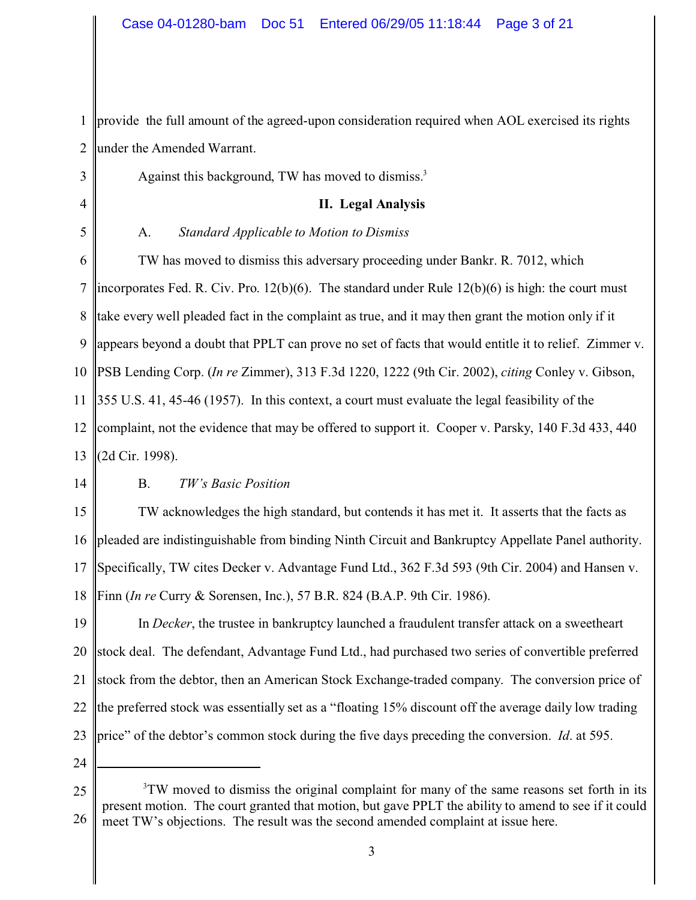1 2 provide the full amount of the agreed-upon consideration required when AOL exercised its rights under the Amended Warrant.

Against this background, TW has moved to dismiss.<sup>3</sup>

## **II. Legal Analysis**

4 5

3

## A. *Standard Applicable to Motion to Dismiss*

6 7 8 9 10 11 12 13 TW has moved to dismiss this adversary proceeding under Bankr. R. 7012, which incorporates Fed. R. Civ. Pro. 12(b)(6). The standard under Rule 12(b)(6) is high: the court must take every well pleaded fact in the complaint as true, and it may then grant the motion only if it appears beyond a doubt that PPLT can prove no set of facts that would entitle it to relief. Zimmer v. PSB Lending Corp. (*In re* Zimmer), 313 F.3d 1220, 1222 (9th Cir. 2002), *citing* Conley v. Gibson, 355 U.S. 41, 45-46 (1957). In this context, a court must evaluate the legal feasibility of the complaint, not the evidence that may be offered to support it. Cooper v. Parsky, 140 F.3d 433, 440 (2d Cir. 1998).

14

## B. *TW's Basic Position*

15 16 17 18 TW acknowledges the high standard, but contends it has met it. It asserts that the facts as pleaded are indistinguishable from binding Ninth Circuit and Bankruptcy Appellate Panel authority. Specifically, TW cites Decker v. Advantage Fund Ltd., 362 F.3d 593 (9th Cir. 2004) and Hansen v. Finn (*In re* Curry & Sorensen, Inc.), 57 B.R. 824 (B.A.P. 9th Cir. 1986).

19 20 21 22 23 In *Decker*, the trustee in bankruptcy launched a fraudulent transfer attack on a sweetheart stock deal. The defendant, Advantage Fund Ltd., had purchased two series of convertible preferred stock from the debtor, then an American Stock Exchange-traded company. The conversion price of the preferred stock was essentially set as a "floating 15% discount off the average daily low trading price" of the debtor's common stock during the five days preceding the conversion. *Id*. at 595.

<sup>25</sup> 26 <sup>3</sup>TW moved to dismiss the original complaint for many of the same reasons set forth in its present motion. The court granted that motion, but gave PPLT the ability to amend to see if it could meet TW's objections. The result was the second amended complaint at issue here.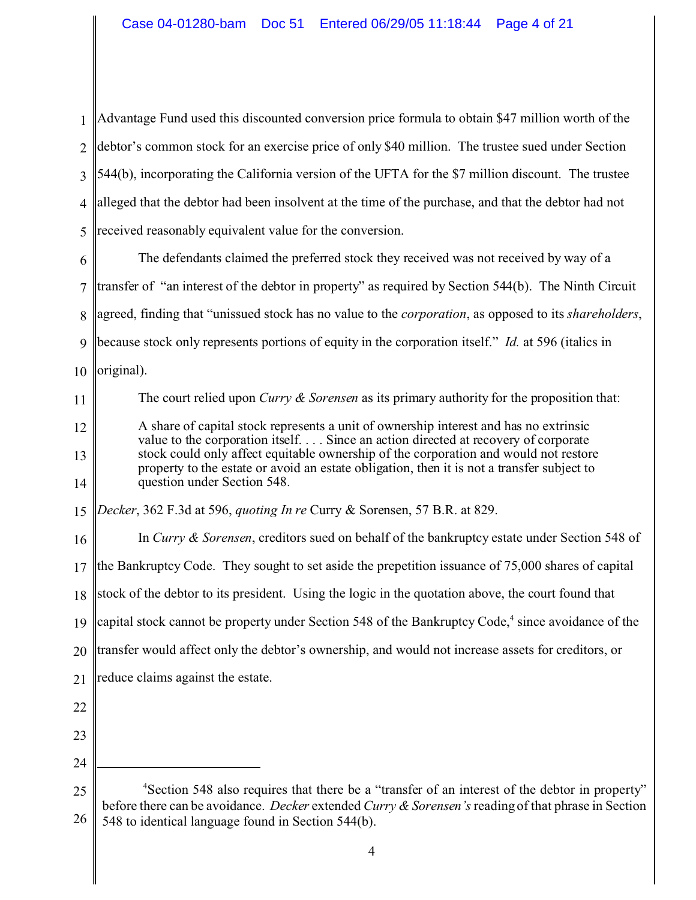| 1              | Advantage Fund used this discounted conversion price formula to obtain \$47 million worth of the                                                                                                                                                                        |  |  |
|----------------|-------------------------------------------------------------------------------------------------------------------------------------------------------------------------------------------------------------------------------------------------------------------------|--|--|
| $\overline{2}$ | debtor's common stock for an exercise price of only \$40 million. The trustee sued under Section                                                                                                                                                                        |  |  |
| 3              | 544(b), incorporating the California version of the UFTA for the \$7 million discount. The trustee                                                                                                                                                                      |  |  |
| 4              | alleged that the debtor had been insolvent at the time of the purchase, and that the debtor had not                                                                                                                                                                     |  |  |
| 5              | received reasonably equivalent value for the conversion.                                                                                                                                                                                                                |  |  |
| 6              | The defendants claimed the preferred stock they received was not received by way of a                                                                                                                                                                                   |  |  |
| 7              | transfer of "an interest of the debtor in property" as required by Section 544(b). The Ninth Circuit                                                                                                                                                                    |  |  |
| 8              | agreed, finding that "unissued stock has no value to the <i>corporation</i> , as opposed to its <i>shareholders</i> ,                                                                                                                                                   |  |  |
| 9              | because stock only represents portions of equity in the corporation itself." <i>Id.</i> at 596 (italics in                                                                                                                                                              |  |  |
| 10             | original).                                                                                                                                                                                                                                                              |  |  |
| 11             | The court relied upon Curry $\&$ Sorensen as its primary authority for the proposition that:                                                                                                                                                                            |  |  |
| 12             | A share of capital stock represents a unit of ownership interest and has no extrinsic                                                                                                                                                                                   |  |  |
| 13             | value to the corporation itself Since an action directed at recovery of corporate<br>stock could only affect equitable ownership of the corporation and would not restore<br>property to the estate or avoid an estate obligation, then it is not a transfer subject to |  |  |
| 14             | question under Section 548.                                                                                                                                                                                                                                             |  |  |
| 15             | Decker, 362 F.3d at 596, quoting In re Curry & Sorensen, 57 B.R. at 829.                                                                                                                                                                                                |  |  |
| 16             | In Curry & Sorensen, creditors sued on behalf of the bankruptcy estate under Section 548 of                                                                                                                                                                             |  |  |
| 17             | the Bankruptcy Code. They sought to set aside the prepetition issuance of 75,000 shares of capital                                                                                                                                                                      |  |  |
|                | 18 stock of the debtor to its president. Using the logic in the quotation above, the court found that                                                                                                                                                                   |  |  |
| 19             | capital stock cannot be property under Section 548 of the Bankruptcy Code, <sup>4</sup> since avoidance of the                                                                                                                                                          |  |  |
| 20             | transfer would affect only the debtor's ownership, and would not increase assets for creditors, or                                                                                                                                                                      |  |  |
| 21             | reduce claims against the estate.                                                                                                                                                                                                                                       |  |  |
| 22             |                                                                                                                                                                                                                                                                         |  |  |
| 23             |                                                                                                                                                                                                                                                                         |  |  |
| 24             |                                                                                                                                                                                                                                                                         |  |  |
| 25<br>26       | <sup>4</sup> Section 548 also requires that there be a "transfer of an interest of the debtor in property"<br>before there can be avoidance. Decker extended Curry & Sorensen's reading of that phrase in Section<br>548 to identical language found in Section 544(b). |  |  |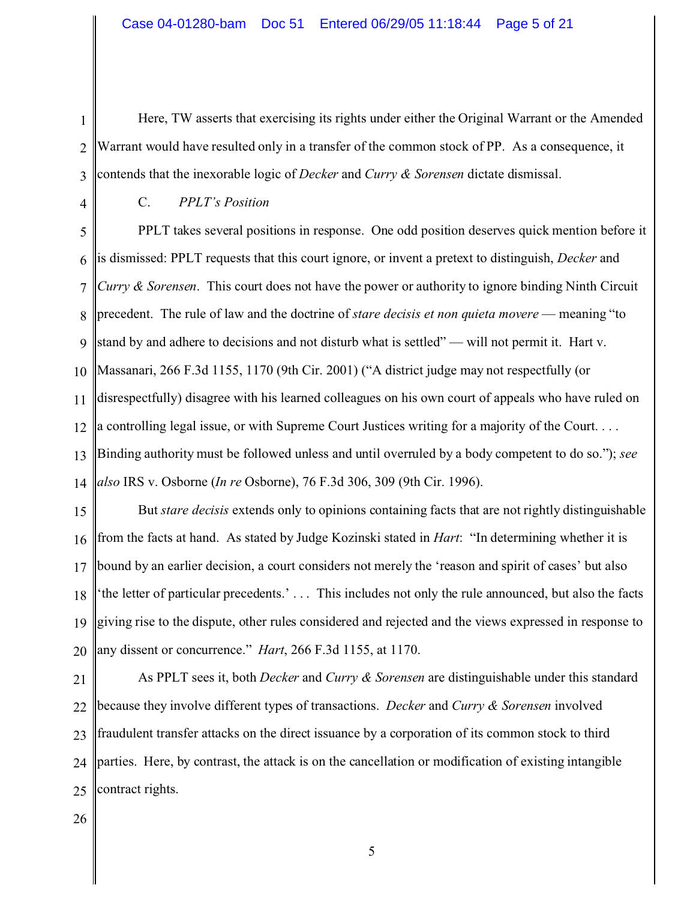1 2 3 Here, TW asserts that exercising its rights under either the Original Warrant or the Amended Warrant would have resulted only in a transfer of the common stock of PP. As a consequence, it contends that the inexorable logic of *Decker* and *Curry & Sorensen* dictate dismissal.

4

C. *PPLT's Position*

5 6 7 8 9 10 11 12 13 14 PPLT takes several positions in response. One odd position deserves quick mention before it is dismissed: PPLT requests that this court ignore, or invent a pretext to distinguish, *Decker* and *Curry & Sorensen*. This court does not have the power or authority to ignore binding Ninth Circuit precedent. The rule of law and the doctrine of *stare decisis et non quieta movere* — meaning "to stand by and adhere to decisions and not disturb what is settled" — will not permit it. Hart v. Massanari, 266 F.3d 1155, 1170 (9th Cir. 2001) ("A district judge may not respectfully (or disrespectfully) disagree with his learned colleagues on his own court of appeals who have ruled on a controlling legal issue, or with Supreme Court Justices writing for a majority of the Court. . . . Binding authority must be followed unless and until overruled by a body competent to do so."); *see also* IRS v. Osborne (*In re* Osborne), 76 F.3d 306, 309 (9th Cir. 1996).

15 16 17 18 19 20 But *stare decisis* extends only to opinions containing facts that are not rightly distinguishable from the facts at hand. As stated by Judge Kozinski stated in *Hart*: "In determining whether it is bound by an earlier decision, a court considers not merely the 'reason and spirit of cases' but also 'the letter of particular precedents.' . . . This includes not only the rule announced, but also the facts giving rise to the dispute, other rules considered and rejected and the views expressed in response to any dissent or concurrence." *Hart*, 266 F.3d 1155, at 1170.

21 22 23 24 25 As PPLT sees it, both *Decker* and *Curry & Sorensen* are distinguishable under this standard because they involve different types of transactions. *Decker* and *Curry & Sorensen* involved fraudulent transfer attacks on the direct issuance by a corporation of its common stock to third parties. Here, by contrast, the attack is on the cancellation or modification of existing intangible contract rights.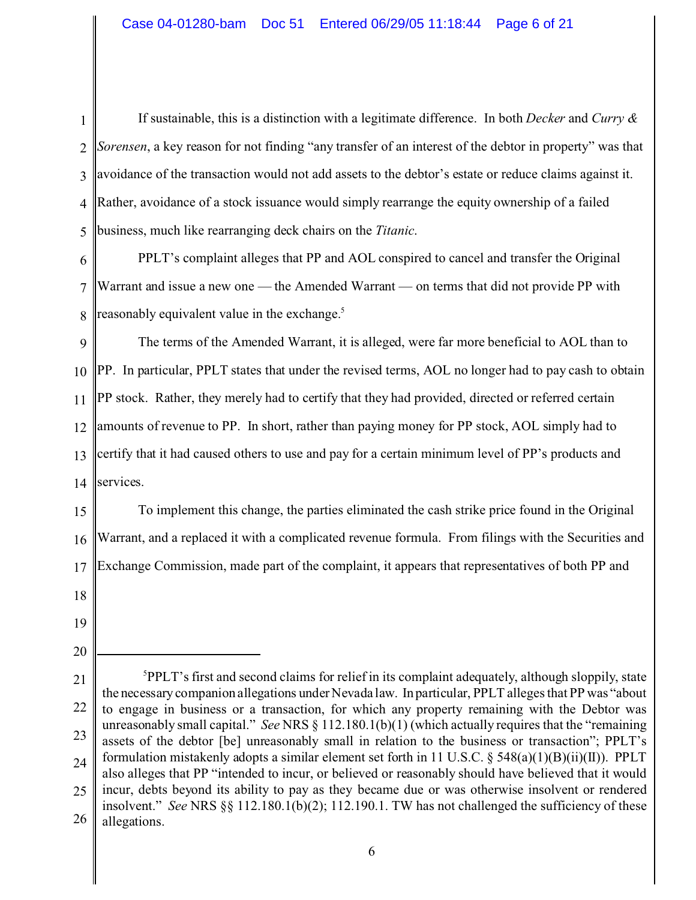1 2 3 4 5 If sustainable, this is a distinction with a legitimate difference. In both *Decker* and *Curry & Sorensen*, a key reason for not finding "any transfer of an interest of the debtor in property" was that avoidance of the transaction would not add assets to the debtor's estate or reduce claims against it. Rather, avoidance of a stock issuance would simply rearrange the equity ownership of a failed business, much like rearranging deck chairs on the *Titanic*.

6 7 8 PPLT's complaint alleges that PP and AOL conspired to cancel and transfer the Original Warrant and issue a new one — the Amended Warrant — on terms that did not provide PP with reasonably equivalent value in the exchange.<sup>5</sup>

9 10 11 12 13 14 The terms of the Amended Warrant, it is alleged, were far more beneficial to AOL than to PP. In particular, PPLT states that under the revised terms, AOL no longer had to pay cash to obtain PP stock. Rather, they merely had to certify that they had provided, directed or referred certain amounts of revenue to PP. In short, rather than paying money for PP stock, AOL simply had to certify that it had caused others to use and pay for a certain minimum level of PP's products and services.

15 16 17 To implement this change, the parties eliminated the cash strike price found in the Original Warrant, and a replaced it with a complicated revenue formula. From filings with the Securities and Exchange Commission, made part of the complaint, it appears that representatives of both PP and

- 18
- 19
- 20

<sup>21</sup> 22 23 24 25 26  ${}^{5}$ PPLT's first and second claims for relief in its complaint adequately, although sloppily, state the necessary companion allegations under Nevada law. In particular, PPLT alleges that PP was "about to engage in business or a transaction, for which any property remaining with the Debtor was unreasonably small capital." *See* NRS § 112.180.1(b)(1) (which actually requires that the "remaining assets of the debtor [be] unreasonably small in relation to the business or transaction"; PPLT's formulation mistakenly adopts a similar element set forth in 11 U.S.C. § 548(a)(1)(B)(ii)(II)). PPLT also alleges that PP "intended to incur, or believed or reasonably should have believed that it would incur, debts beyond its ability to pay as they became due or was otherwise insolvent or rendered insolvent." *See* NRS §§ 112.180.1(b)(2); 112.190.1. TW has not challenged the sufficiency of these allegations.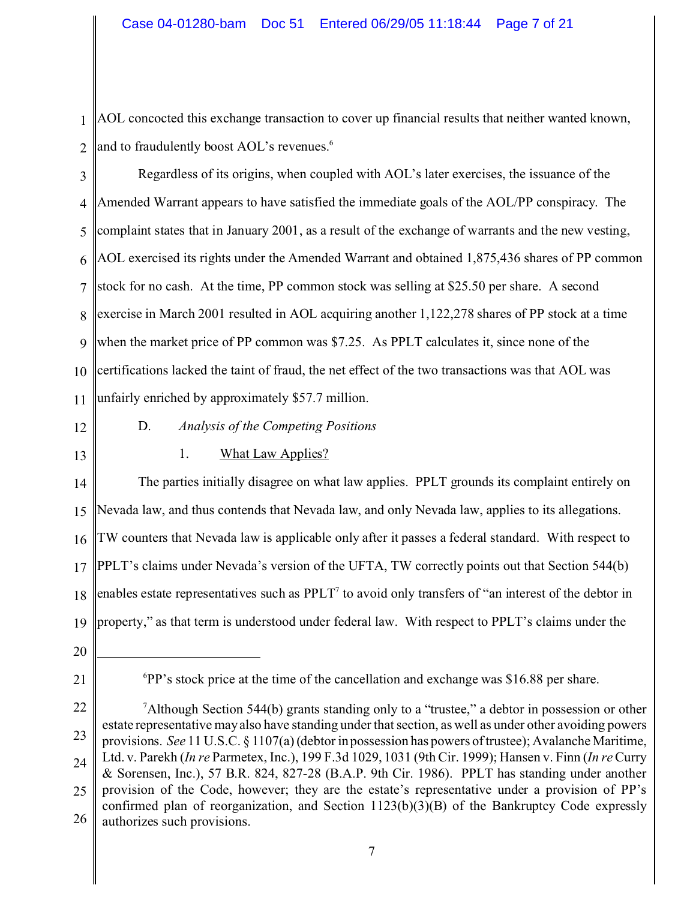1 2 AOL concocted this exchange transaction to cover up financial results that neither wanted known, and to fraudulently boost AOL's revenues.<sup>6</sup>

- 3 4 5 6 7 8 9 10 11 Regardless of its origins, when coupled with AOL's later exercises, the issuance of the Amended Warrant appears to have satisfied the immediate goals of the AOL/PP conspiracy. The complaint states that in January 2001, as a result of the exchange of warrants and the new vesting, AOL exercised its rights under the Amended Warrant and obtained 1,875,436 shares of PP common stock for no cash. At the time, PP common stock was selling at \$25.50 per share. A second exercise in March 2001 resulted in AOL acquiring another 1,122,278 shares of PP stock at a time when the market price of PP common was \$7.25. As PPLT calculates it, since none of the certifications lacked the taint of fraud, the net effect of the two transactions was that AOL was unfairly enriched by approximately \$57.7 million.
- 12
- 13

# D. *Analysis of the Competing Positions* 1. What Law Applies?

14 15 16 17 18 19 The parties initially disagree on what law applies. PPLT grounds its complaint entirely on Nevada law, and thus contends that Nevada law, and only Nevada law, applies to its allegations. TW counters that Nevada law is applicable only after it passes a federal standard. With respect to PPLT's claims under Nevada's version of the UFTA, TW correctly points out that Section 544(b) enables estate representatives such as  $PPLT^7$  to avoid only transfers of "an interest of the debtor in property," as that term is understood under federal law. With respect to PPLT's claims under the

- 20
- 21

<sup>6</sup>PP's stock price at the time of the cancellation and exchange was \$16.88 per share.

<sup>22</sup> 23 24 25 26 <sup>7</sup>Although Section 544(b) grants standing only to a "trustee," a debtor in possession or other estate representative may also have standing under that section, as well as under other avoiding powers provisions. *See* 11 U.S.C. § 1107(a) (debtor in possession has powers of trustee); Avalanche Maritime, Ltd. v. Parekh (*In re* Parmetex, Inc.), 199 F.3d 1029, 1031 (9th Cir. 1999); Hansen v. Finn (*In re* Curry & Sorensen, Inc.), 57 B.R. 824, 827-28 (B.A.P. 9th Cir. 1986). PPLT has standing under another provision of the Code, however; they are the estate's representative under a provision of PP's confirmed plan of reorganization, and Section 1123(b)(3)(B) of the Bankruptcy Code expressly authorizes such provisions.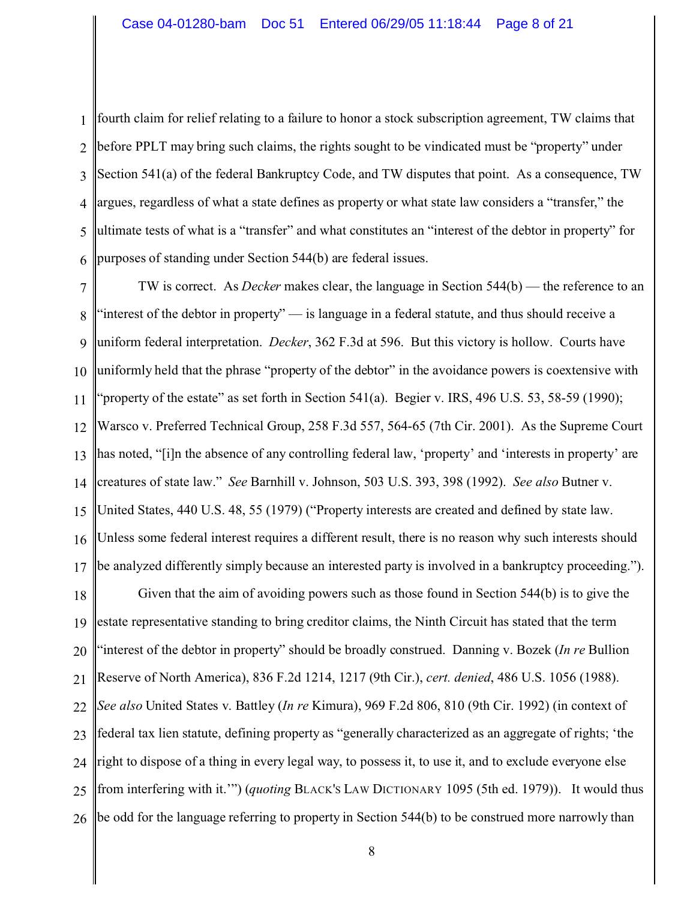1 2 3 4 5 6 fourth claim for relief relating to a failure to honor a stock subscription agreement, TW claims that before PPLT may bring such claims, the rights sought to be vindicated must be "property" under Section 541(a) of the federal Bankruptcy Code, and TW disputes that point. As a consequence, TW argues, regardless of what a state defines as property or what state law considers a "transfer," the ultimate tests of what is a "transfer" and what constitutes an "interest of the debtor in property" for purposes of standing under Section 544(b) are federal issues.

7 8 9 10 11 12 13 14 15 16 17 TW is correct. As *Decker* makes clear, the language in Section 544(b) — the reference to an "interest of the debtor in property" — is language in a federal statute, and thus should receive a uniform federal interpretation. *Decker*, 362 F.3d at 596. But this victory is hollow. Courts have uniformly held that the phrase "property of the debtor" in the avoidance powers is coextensive with "property of the estate" as set forth in Section  $541(a)$ . Begier v. IRS, 496 U.S. 53, 58-59 (1990); Warsco v. Preferred Technical Group, 258 F.3d 557, 564-65 (7th Cir. 2001). As the Supreme Court has noted, "[i]n the absence of any controlling federal law, 'property' and 'interests in property' are creatures of state law." *See* Barnhill v. Johnson, 503 U.S. 393, 398 (1992). *See also* Butner v. United States, 440 U.S. 48, 55 (1979) ("Property interests are created and defined by state law. Unless some federal interest requires a different result, there is no reason why such interests should be analyzed differently simply because an interested party is involved in a bankruptcy proceeding.").

18 19 20 21 22 23 24 25 26 Given that the aim of avoiding powers such as those found in Section 544(b) is to give the estate representative standing to bring creditor claims, the Ninth Circuit has stated that the term "interest of the debtor in property" should be broadly construed. Danning v. Bozek (*In re* Bullion Reserve of North America), 836 F.2d 1214, 1217 (9th Cir.), *cert. denied*, 486 U.S. 1056 (1988). *See also* United States v. Battley (*In re* Kimura), 969 F.2d 806, 810 (9th Cir. 1992) (in context of federal tax lien statute, defining property as "generally characterized as an aggregate of rights; 'the right to dispose of a thing in every legal way, to possess it, to use it, and to exclude everyone else from interfering with it.'") (*quoting* BLACK'S LAW DICTIONARY 1095 (5th ed. 1979)). It would thus be odd for the language referring to property in Section 544(b) to be construed more narrowly than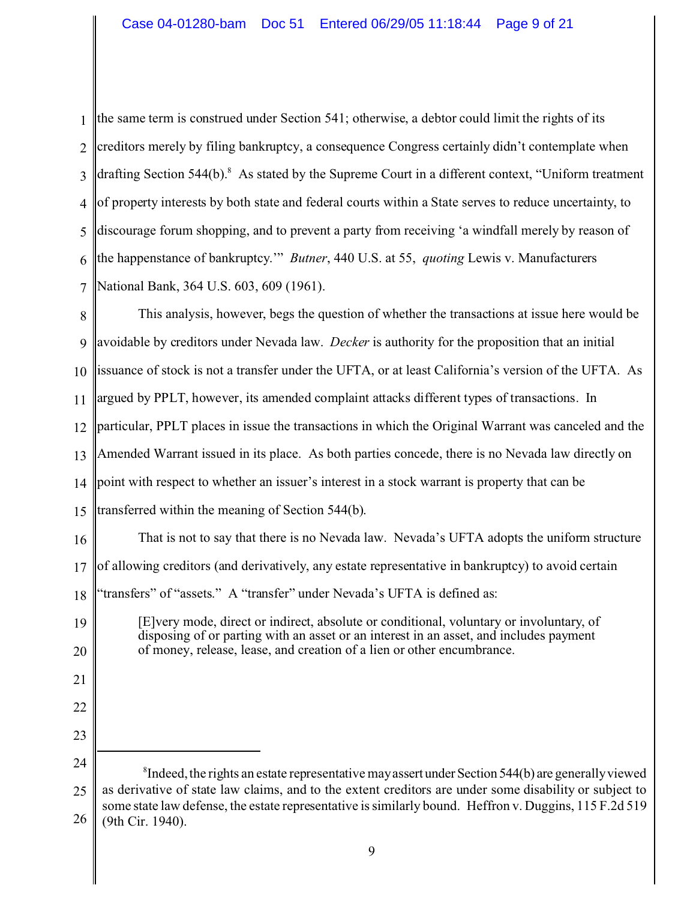| $\mathbf{1}$   | the same term is construed under Section 541; otherwise, a debtor could limit the rights of its                     |
|----------------|---------------------------------------------------------------------------------------------------------------------|
| $\overline{2}$ | creditors merely by filing bankruptcy, a consequence Congress certainly didn't contemplate when                     |
| $\overline{3}$ | drafting Section $544(b)$ . <sup>8</sup> As stated by the Supreme Court in a different context, "Uniform treatment" |
| $\overline{4}$ | of property interests by both state and federal courts within a State serves to reduce uncertainty, to              |
| 5              | discourage forum shopping, and to prevent a party from receiving 'a windfall merely by reason of                    |
| 6              | the happenstance of bankruptcy." <i>Butner</i> , 440 U.S. at 55, <i>quoting</i> Lewis v. Manufacturers              |
| $\overline{7}$ | National Bank, 364 U.S. 603, 609 (1961).                                                                            |
| 8              | This analysis, however, begs the question of whether the transactions at issue here would be                        |
| 9              | avoidable by creditors under Nevada law. <i>Decker</i> is authority for the proposition that an initial             |
| 10             | lissuance of stock is not a transfer under the UFTA, or at least California's version of the UFTA. As               |
| 11             | argued by PPLT, however, its amended complaint attacks different types of transactions. In                          |
| 12             | particular, PPLT places in issue the transactions in which the Original Warrant was canceled and the                |
| 13             | Amended Warrant issued in its place. As both parties concede, there is no Nevada law directly on                    |
|                | 14  point with respect to whether an issuer's interest in a stock warrant is property that can be                   |
|                | 15   transferred within the meaning of Section 544(b).                                                              |

16 That is not to say that there is no Nevada law. Nevada's UFTA adopts the uniform structure

17 of allowing creditors (and derivatively, any estate representative in bankruptcy) to avoid certain

18 'transfers" of "assets." A "transfer" under Nevada's UFTA is defined as:

19

20

21

22

23

[E]very mode, direct or indirect, absolute or conditional, voluntary or involuntary, of disposing of or parting with an asset or an interest in an asset, and includes payment of money, release, lease, and creation of a lien or other encumbrance.

<sup>24</sup> 25 26  ${}^{8}$ Indeed, the rights an estate representative may assert under Section 544(b) are generally viewed as derivative of state law claims, and to the extent creditors are under some disability or subject to some state law defense, the estate representative is similarly bound. Heffron v. Duggins, 115 F.2d 519 (9th Cir. 1940).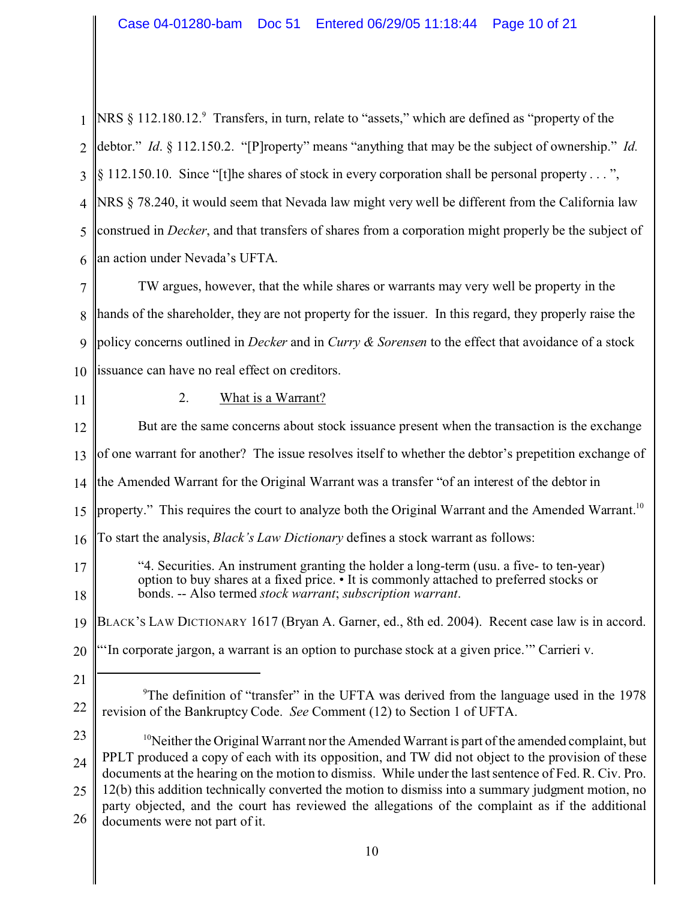| NRS § 112.180.12. <sup>9</sup> Transfers, in turn, relate to "assets," which are defined as "property of the                                                                                                                                      |  |  |  |  |
|---------------------------------------------------------------------------------------------------------------------------------------------------------------------------------------------------------------------------------------------------|--|--|--|--|
| debtor." Id. § 112.150.2. "[P]roperty" means "anything that may be the subject of ownership." Id.                                                                                                                                                 |  |  |  |  |
| $\S$ 112.150.10. Since "[t] he shares of stock in every corporation shall be personal property",                                                                                                                                                  |  |  |  |  |
| NRS § 78.240, it would seem that Nevada law might very well be different from the California law                                                                                                                                                  |  |  |  |  |
| construed in <i>Decker</i> , and that transfers of shares from a corporation might properly be the subject of                                                                                                                                     |  |  |  |  |
| an action under Nevada's UFTA.                                                                                                                                                                                                                    |  |  |  |  |
| TW argues, however, that the while shares or warrants may very well be property in the                                                                                                                                                            |  |  |  |  |
| hands of the shareholder, they are not property for the issuer. In this regard, they properly raise the                                                                                                                                           |  |  |  |  |
| policy concerns outlined in <i>Decker</i> and in <i>Curry &amp; Sorensen</i> to the effect that avoidance of a stock                                                                                                                              |  |  |  |  |
| issuance can have no real effect on creditors.                                                                                                                                                                                                    |  |  |  |  |
| What is a Warrant?<br>2.                                                                                                                                                                                                                          |  |  |  |  |
| But are the same concerns about stock issuance present when the transaction is the exchange                                                                                                                                                       |  |  |  |  |
| of one warrant for another? The issue resolves itself to whether the debtor's prepetition exchange of                                                                                                                                             |  |  |  |  |
| the Amended Warrant for the Original Warrant was a transfer "of an interest of the debtor in                                                                                                                                                      |  |  |  |  |
| property." This requires the court to analyze both the Original Warrant and the Amended Warrant. <sup>10</sup>                                                                                                                                    |  |  |  |  |
| To start the analysis, <i>Black's Law Dictionary</i> defines a stock warrant as follows:<br>16                                                                                                                                                    |  |  |  |  |
| "4. Securities. An instrument granting the holder a long-term (usu. a five- to ten-year)<br>option to buy shares at a fixed price. • It is commonly attached to preferred stocks or<br>bonds. -- Also termed stock warrant; subscription warrant. |  |  |  |  |
| BLACK's LAW DICTIONARY 1617 (Bryan A. Garner, ed., 8th ed. 2004). Recent case law is in accord.                                                                                                                                                   |  |  |  |  |
| "In corporate jargon, a warrant is an option to purchase stock at a given price." Carrieri v.                                                                                                                                                     |  |  |  |  |
|                                                                                                                                                                                                                                                   |  |  |  |  |
| <sup>9</sup> The definition of "transfer" in the UFTA was derived from the language used in the 1978<br>revision of the Bankruptcy Code. See Comment (12) to Section 1 of UFTA.                                                                   |  |  |  |  |
| <sup>10</sup> Neither the Original Warrant nor the Amended Warrant is part of the amended complaint, but                                                                                                                                          |  |  |  |  |
| PPLT produced a copy of each with its opposition, and TW did not object to the provision of these<br>24<br>documents at the hearing on the motion to dismiss. While under the last sentence of Fed. R. Civ. Pro.                                  |  |  |  |  |
| 12(b) this addition technically converted the motion to dismiss into a summary judgment motion, no<br>party objected, and the court has reviewed the allegations of the complaint as if the additional                                            |  |  |  |  |
|                                                                                                                                                                                                                                                   |  |  |  |  |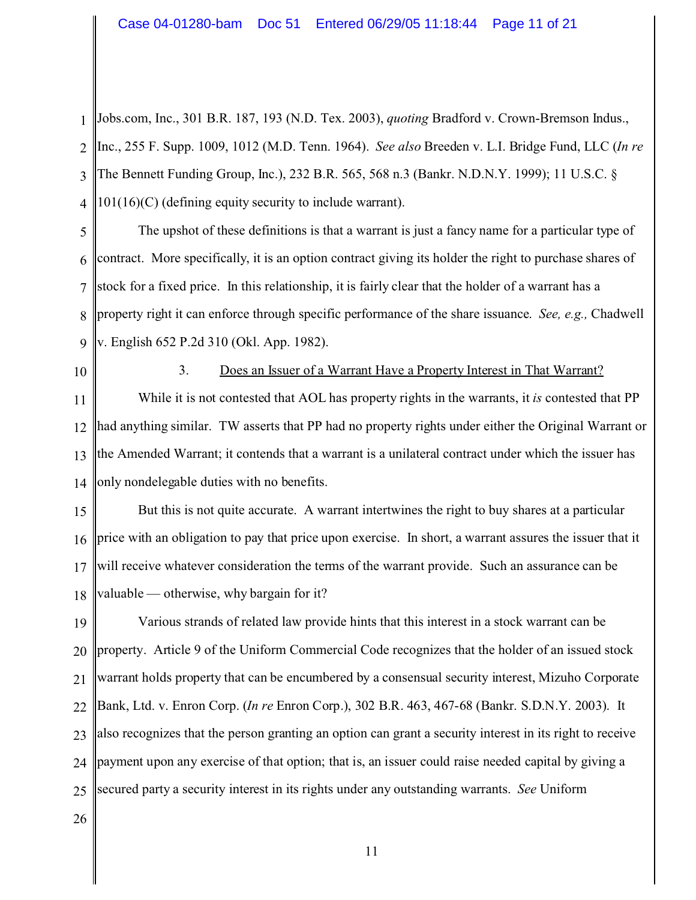1 2 3 4 Jobs.com, Inc., 301 B.R. 187, 193 (N.D. Tex. 2003), *quoting* Bradford v. Crown-Bremson Indus., Inc., 255 F. Supp. 1009, 1012 (M.D. Tenn. 1964). *See also* Breeden v. L.I. Bridge Fund, LLC (*In re* The Bennett Funding Group, Inc.), 232 B.R. 565, 568 n.3 (Bankr. N.D.N.Y. 1999); 11 U.S.C. § 101(16)(C) (defining equity security to include warrant).

5 6 7 8 9 The upshot of these definitions is that a warrant is just a fancy name for a particular type of contract. More specifically, it is an option contract giving its holder the right to purchase shares of stock for a fixed price. In this relationship, it is fairly clear that the holder of a warrant has a property right it can enforce through specific performance of the share issuance. *See, e.g.,* Chadwell v. English 652 P.2d 310 (Okl. App. 1982).

10

#### 3. Does an Issuer of a Warrant Have a Property Interest in That Warrant?

11 12 13 14 While it is not contested that AOL has property rights in the warrants, it *is* contested that PP had anything similar. TW asserts that PP had no property rights under either the Original Warrant or the Amended Warrant; it contends that a warrant is a unilateral contract under which the issuer has only nondelegable duties with no benefits.

15 16 17 18 But this is not quite accurate. A warrant intertwines the right to buy shares at a particular price with an obligation to pay that price upon exercise. In short, a warrant assures the issuer that it will receive whatever consideration the terms of the warrant provide. Such an assurance can be valuable — otherwise, why bargain for it?

19 20 21 22 23 24 25 Various strands of related law provide hints that this interest in a stock warrant can be property. Article 9 of the Uniform Commercial Code recognizes that the holder of an issued stock warrant holds property that can be encumbered by a consensual security interest, Mizuho Corporate Bank, Ltd. v. Enron Corp. (*In re* Enron Corp.), 302 B.R. 463, 467-68 (Bankr. S.D.N.Y. 2003). It also recognizes that the person granting an option can grant a security interest in its right to receive payment upon any exercise of that option; that is, an issuer could raise needed capital by giving a secured party a security interest in its rights under any outstanding warrants. *See* Uniform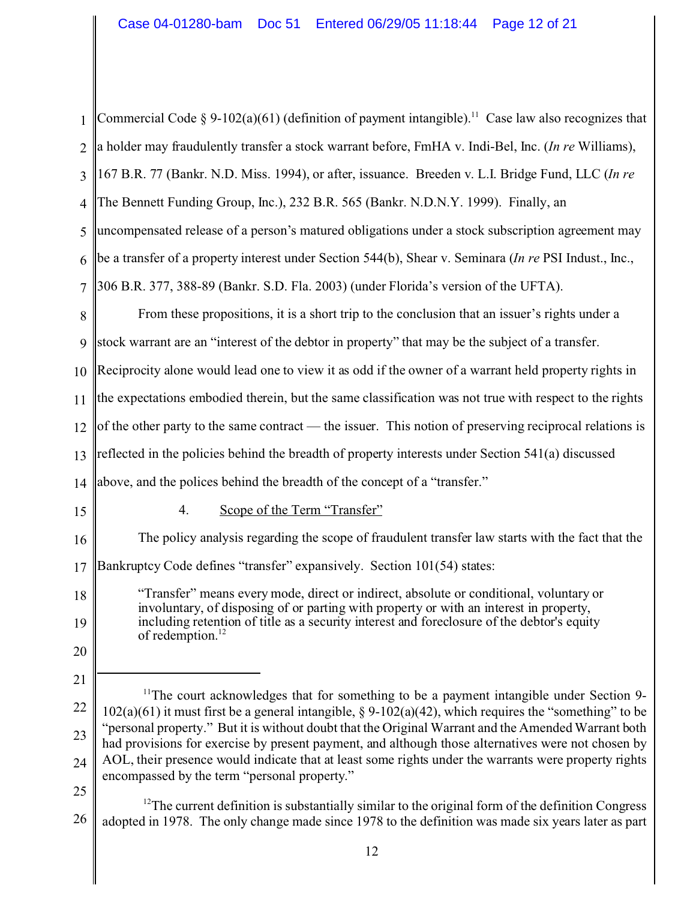| 1              | Commercial Code § 9-102(a)(61) (definition of payment intangible). <sup>11</sup> Case law also recognizes that                                                                                                      |  |  |  |
|----------------|---------------------------------------------------------------------------------------------------------------------------------------------------------------------------------------------------------------------|--|--|--|
| $\overline{2}$ | a holder may fraudulently transfer a stock warrant before, FmHA v. Indi-Bel, Inc. (In re Williams),                                                                                                                 |  |  |  |
| 3              | 167 B.R. 77 (Bankr. N.D. Miss. 1994), or after, issuance. Breeden v. L.I. Bridge Fund, LLC (In re                                                                                                                   |  |  |  |
| 4              | The Bennett Funding Group, Inc.), 232 B.R. 565 (Bankr. N.D.N.Y. 1999). Finally, an                                                                                                                                  |  |  |  |
| 5              | uncompensated release of a person's matured obligations under a stock subscription agreement may                                                                                                                    |  |  |  |
| 6              | be a transfer of a property interest under Section 544(b), Shear v. Seminara (In re PSI Indust., Inc.,                                                                                                              |  |  |  |
| $\overline{7}$ | 306 B.R. 377, 388-89 (Bankr. S.D. Fla. 2003) (under Florida's version of the UFTA).                                                                                                                                 |  |  |  |
| 8              | From these propositions, it is a short trip to the conclusion that an issuer's rights under a                                                                                                                       |  |  |  |
| 9              | stock warrant are an "interest of the debtor in property" that may be the subject of a transfer.                                                                                                                    |  |  |  |
| 10             | Reciprocity alone would lead one to view it as odd if the owner of a warrant held property rights in                                                                                                                |  |  |  |
| 11             | the expectations embodied therein, but the same classification was not true with respect to the rights                                                                                                              |  |  |  |
| 12             | of the other party to the same contract — the issuer. This notion of preserving reciprocal relations is                                                                                                             |  |  |  |
| 13             | reflected in the policies behind the breadth of property interests under Section 541(a) discussed                                                                                                                   |  |  |  |
| 14             | above, and the polices behind the breadth of the concept of a "transfer."                                                                                                                                           |  |  |  |
| 15             | Scope of the Term "Transfer"<br>4.                                                                                                                                                                                  |  |  |  |
| 16             | The policy analysis regarding the scope of fraudulent transfer law starts with the fact that the                                                                                                                    |  |  |  |
| 17             | Bankruptcy Code defines "transfer" expansively. Section 101(54) states:                                                                                                                                             |  |  |  |
| 18             | "Transfer" means every mode, direct or indirect, absolute or conditional, voluntary or                                                                                                                              |  |  |  |
| 19             | involuntary, of disposing of or parting with property or with an interest in property,<br>including retention of title as a security interest and foreclosure of the debtor's equity<br>of redemption. <sup>1</sup> |  |  |  |
| 20             |                                                                                                                                                                                                                     |  |  |  |
| 21             |                                                                                                                                                                                                                     |  |  |  |
| 22             | <sup>11</sup> The court acknowledges that for something to be a payment intangible under Section 9-<br>$102(a)(61)$ it must first be a general intangible, § 9-102(a)(42), which requires the "something" to be     |  |  |  |
| 23             | "personal property." But it is without doubt that the Original Warrant and the Amended Warrant both<br>had provisions for exercise by present payment, and although those alternatives were not chosen by           |  |  |  |
| 24             | AOL, their presence would indicate that at least some rights under the warrants were property rights<br>encompassed by the term "personal property."                                                                |  |  |  |
| 25             | $^{12}$ The current definition is substantially similar to the original form of the definition Congress                                                                                                             |  |  |  |

26 adopted in 1978. The only change made since 1978 to the definition was made six years later as part ent definition is substantially similar to the original form of the definition Congress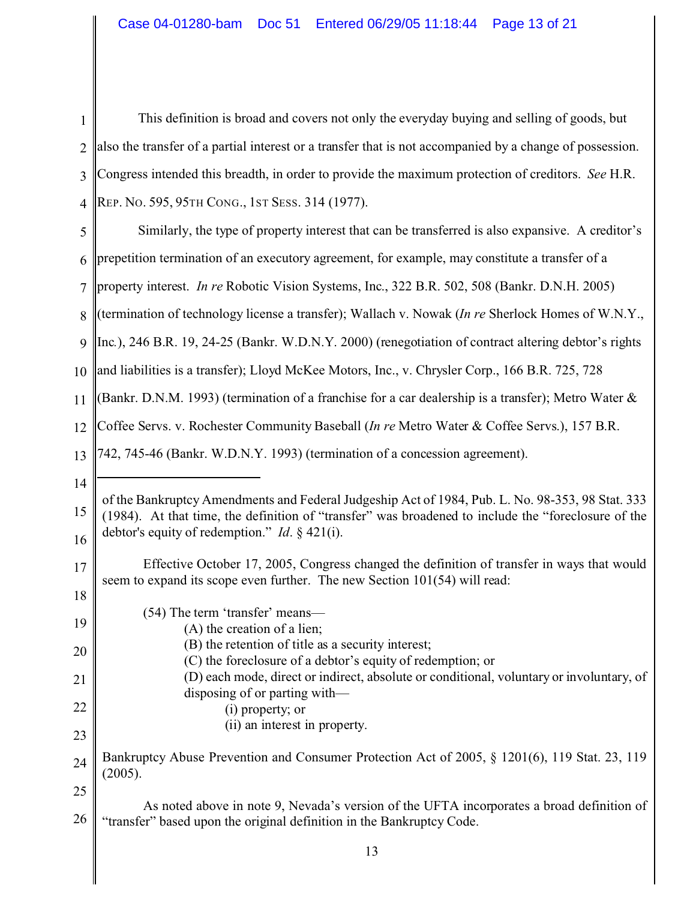| $\mathbf{1}$   | This definition is broad and covers not only the everyday buying and selling of goods, but                                                                                                                                                                         |
|----------------|--------------------------------------------------------------------------------------------------------------------------------------------------------------------------------------------------------------------------------------------------------------------|
| $\overline{2}$ | also the transfer of a partial interest or a transfer that is not accompanied by a change of possession.                                                                                                                                                           |
| 3              | Congress intended this breadth, in order to provide the maximum protection of creditors. See H.R.                                                                                                                                                                  |
| 4              | REP. No. 595, 95TH CONG., 1ST SESS. 314 (1977).                                                                                                                                                                                                                    |
| 5              | Similarly, the type of property interest that can be transferred is also expansive. A creditor's                                                                                                                                                                   |
| 6              | prepetition termination of an executory agreement, for example, may constitute a transfer of a                                                                                                                                                                     |
| $\overline{7}$ | property interest. <i>In re</i> Robotic Vision Systems, Inc., 322 B.R. 502, 508 (Bankr. D.N.H. 2005)                                                                                                                                                               |
| 8              | (termination of technology license a transfer); Wallach v. Nowak (In re Sherlock Homes of W.N.Y.,                                                                                                                                                                  |
| 9              | Inc.), 246 B.R. 19, 24-25 (Bankr. W.D.N.Y. 2000) (renegotiation of contract altering debtor's rights                                                                                                                                                               |
| 10             | and liabilities is a transfer); Lloyd McKee Motors, Inc., v. Chrysler Corp., 166 B.R. 725, 728                                                                                                                                                                     |
| 11             | (Bankr. D.N.M. 1993) (termination of a franchise for a car dealership is a transfer); Metro Water $\&$                                                                                                                                                             |
| 12             | Coffee Servs. v. Rochester Community Baseball ( <i>In re</i> Metro Water & Coffee Servs.), 157 B.R.                                                                                                                                                                |
| 13             | 742, 745-46 (Bankr. W.D.N.Y. 1993) (termination of a concession agreement).                                                                                                                                                                                        |
| 14             |                                                                                                                                                                                                                                                                    |
| 15<br>16       | of the Bankruptcy Amendments and Federal Judgeship Act of 1984, Pub. L. No. 98-353, 98 Stat. 333<br>(1984). At that time, the definition of "transfer" was broadened to include the "foreclosure of the<br>debtor's equity of redemption." <i>Id.</i> $\S$ 421(i). |
|                | Effective October 17, 2005, Congress changed the definition of transfer in ways that would                                                                                                                                                                         |
| 17<br>18       | seem to expand its scope even further. The new Section 101(54) will read:                                                                                                                                                                                          |
| 19             | (54) The term 'transfer' means—                                                                                                                                                                                                                                    |
|                | $(A)$ the creation of a lien;<br>(B) the retention of title as a security interest;                                                                                                                                                                                |
| 20             | (C) the foreclosure of a debtor's equity of redemption; or<br>(D) each mode, direct or indirect, absolute or conditional, voluntary or involuntary, of                                                                                                             |
| 21             | disposing of or parting with—                                                                                                                                                                                                                                      |
| 22             | (i) property; or<br>(ii) an interest in property.                                                                                                                                                                                                                  |
| 23             | Bankruptcy Abuse Prevention and Consumer Protection Act of 2005, § 1201(6), 119 Stat. 23, 119                                                                                                                                                                      |
| 24             | (2005).                                                                                                                                                                                                                                                            |
| 25             | As noted above in note 9, Nevada's version of the UFTA incorporates a broad definition of                                                                                                                                                                          |
| 26             | "transfer" based upon the original definition in the Bankruptcy Code.                                                                                                                                                                                              |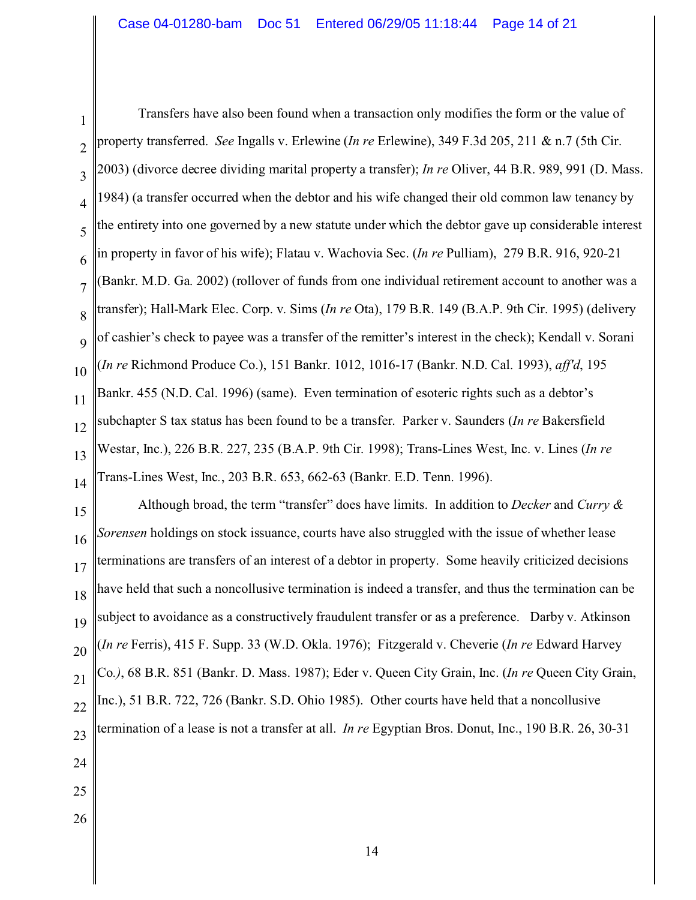1  $\mathfrak{D}$ 3 4 5 6 7 8  $\overline{Q}$ 10 11 12 13 14 Transfers have also been found when a transaction only modifies the form or the value of property transferred. *See* Ingalls v. Erlewine (*In re* Erlewine), 349 F.3d 205, 211 & n.7 (5th Cir. 2003) (divorce decree dividing marital property a transfer); *In re* Oliver, 44 B.R. 989, 991 (D. Mass. 1984) (a transfer occurred when the debtor and his wife changed their old common law tenancy by the entirety into one governed by a new statute under which the debtor gave up considerable interest in property in favor of his wife); Flatau v. Wachovia Sec. (*In re* Pulliam), 279 B.R. 916, 920-21 (Bankr. M.D. Ga. 2002) (rollover of funds from one individual retirement account to another was a transfer); Hall-Mark Elec. Corp. v. Sims (*In re* Ota), 179 B.R. 149 (B.A.P. 9th Cir. 1995) (delivery of cashier's check to payee was a transfer of the remitter's interest in the check); Kendall v. Sorani (*In re* Richmond Produce Co.), 151 Bankr. 1012, 1016-17 (Bankr. N.D. Cal. 1993), *aff'd*, 195 Bankr. 455 (N.D. Cal. 1996) (same). Even termination of esoteric rights such as a debtor's subchapter S tax status has been found to be a transfer. Parker v. Saunders (*In re* Bakersfield Westar, Inc.), 226 B.R. 227, 235 (B.A.P. 9th Cir. 1998); Trans-Lines West, Inc. v. Lines (*In re* Trans-Lines West, Inc*.*, 203 B.R. 653, 662-63 (Bankr. E.D. Tenn. 1996).

15 16 17 18 19 20 21 22 23 Although broad, the term "transfer" does have limits. In addition to *Decker* and *Curry & Sorensen* holdings on stock issuance, courts have also struggled with the issue of whether lease terminations are transfers of an interest of a debtor in property. Some heavily criticized decisions have held that such a noncollusive termination is indeed a transfer, and thus the termination can be subject to avoidance as a constructively fraudulent transfer or as a preference. Darby v. Atkinson (*In re* Ferris), 415 F. Supp. 33 (W.D. Okla. 1976); Fitzgerald v. Cheverie (*In re* Edward Harvey Co*.)*, 68 B.R. 851 (Bankr. D. Mass. 1987); Eder v. Queen City Grain, Inc. (*In re* Queen City Grain, Inc.), 51 B.R. 722, 726 (Bankr. S.D. Ohio 1985). Other courts have held that a noncollusive termination of a lease is not a transfer at all. *In re* Egyptian Bros. Donut, Inc., 190 B.R. 26, 30-31

- 24
- 25
- 26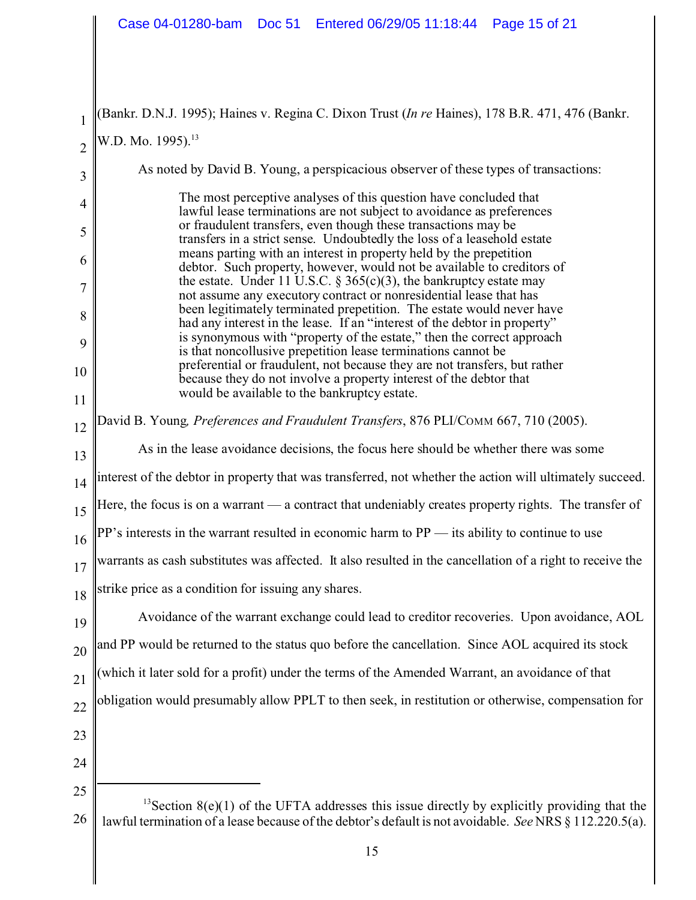| 1              | Bankr. D.N.J. 1995); Haines v. Regina C. Dixon Trust (In re Haines), 178 B.R. 471, 476 (Bankr.                                                                                                                        |  |  |  |
|----------------|-----------------------------------------------------------------------------------------------------------------------------------------------------------------------------------------------------------------------|--|--|--|
| $\overline{c}$ | W.D. Mo. 1995). <sup>13</sup>                                                                                                                                                                                         |  |  |  |
| 3              | As noted by David B. Young, a perspicacious observer of these types of transactions:                                                                                                                                  |  |  |  |
| 4              | The most perceptive analyses of this question have concluded that<br>lawful lease terminations are not subject to avoidance as preferences                                                                            |  |  |  |
| 5              | or fraudulent transfers, even though these transactions may be<br>transfers in a strict sense. Undoubtedly the loss of a leasehold estate                                                                             |  |  |  |
| 6              | means parting with an interest in property held by the prepetition<br>debtor. Such property, however, would not be available to creditors of                                                                          |  |  |  |
| 7<br>8         | the estate. Under 11 U.S.C. § 365(c)(3), the bankruptcy estate may<br>not assume any executory contract or nonresidential lease that has<br>been legitimately terminated prepetition. The estate would never have     |  |  |  |
| 9              | had any interest in the lease. If an "interest of the debtor in property"<br>is synonymous with "property of the estate," then the correct approach<br>is that noncollusive prepetition lease terminations cannot be  |  |  |  |
| 10             | preferential or fraudulent, not because they are not transfers, but rather<br>because they do not involve a property interest of the debtor that                                                                      |  |  |  |
| 11             | would be available to the bankruptcy estate.                                                                                                                                                                          |  |  |  |
| 12             | David B. Young, Preferences and Fraudulent Transfers, 876 PLI/COMM 667, 710 (2005).                                                                                                                                   |  |  |  |
| 13             | As in the lease avoidance decisions, the focus here should be whether there was some                                                                                                                                  |  |  |  |
| 14             | interest of the debtor in property that was transferred, not whether the action will ultimately succeed.                                                                                                              |  |  |  |
| 15             | Here, the focus is on a warrant - a contract that undeniably creates property rights. The transfer of                                                                                                                 |  |  |  |
| 16             | $PP's$ interests in the warrant resulted in economic harm to $PP$ — its ability to continue to use                                                                                                                    |  |  |  |
| 17             | warrants as cash substitutes was affected. It also resulted in the cancellation of a right to receive the                                                                                                             |  |  |  |
|                | 18 Strike price as a condition for issuing any shares.                                                                                                                                                                |  |  |  |
| 19             | Avoidance of the warrant exchange could lead to creditor recoveries. Upon avoidance, AOL                                                                                                                              |  |  |  |
| 20             | and PP would be returned to the status quo before the cancellation. Since AOL acquired its stock                                                                                                                      |  |  |  |
| 21             | which it later sold for a profit) under the terms of the Amended Warrant, an avoidance of that                                                                                                                        |  |  |  |
| 22             | obligation would presumably allow PPLT to then seek, in restitution or otherwise, compensation for                                                                                                                    |  |  |  |
| 23             |                                                                                                                                                                                                                       |  |  |  |
| 24             |                                                                                                                                                                                                                       |  |  |  |
| 25             |                                                                                                                                                                                                                       |  |  |  |
| 26             | <sup>13</sup> Section $8(e)(1)$ of the UFTA addresses this issue directly by explicitly providing that the<br>lawful termination of a lease because of the debtor's default is not avoidable. See NRS § 112.220.5(a). |  |  |  |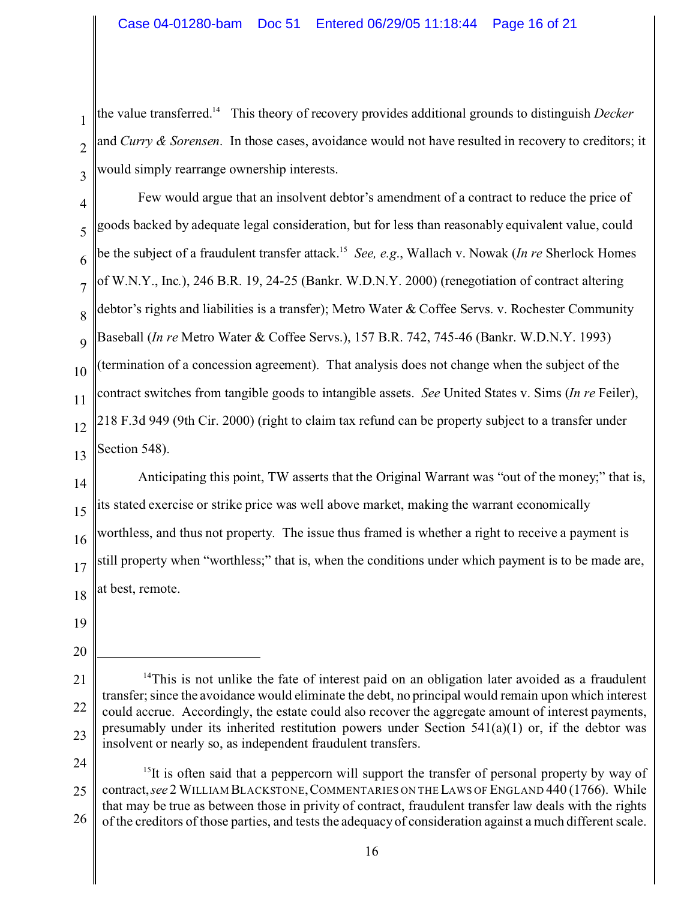1  $\mathfrak{D}$ 3 the value transferred.<sup>14</sup> This theory of recovery provides additional grounds to distinguish *Decker* and *Curry & Sorensen*. In those cases, avoidance would not have resulted in recovery to creditors; it would simply rearrange ownership interests.

4 5 6 7 8 9 10 11 12 13 Few would argue that an insolvent debtor's amendment of a contract to reduce the price of goods backed by adequate legal consideration, but for less than reasonably equivalent value, could be the subject of a fraudulent transfer attack.<sup>15</sup> *See, e.g*., Wallach v. Nowak (*In re* Sherlock Homes of W.N.Y., Inc*.*), 246 B.R. 19, 24-25 (Bankr. W.D.N.Y. 2000) (renegotiation of contract altering debtor's rights and liabilities is a transfer); Metro Water & Coffee Servs. v. Rochester Community Baseball (*In re* Metro Water & Coffee Servs.), 157 B.R. 742, 745-46 (Bankr. W.D.N.Y. 1993) (termination of a concession agreement). That analysis does not change when the subject of the contract switches from tangible goods to intangible assets. *See* United States v. Sims (*In re* Feiler), 218 F.3d 949 (9th Cir. 2000) (right to claim tax refund can be property subject to a transfer under Section 548).

14 15 16 17 18 Anticipating this point, TW asserts that the Original Warrant was "out of the money;" that is, its stated exercise or strike price was well above market, making the warrant economically worthless, and thus not property. The issue thus framed is whether a right to receive a payment is still property when "worthless;" that is, when the conditions under which payment is to be made are, at best, remote.

- 19
- 20
- 21 22 23  $14$ This is not unlike the fate of interest paid on an obligation later avoided as a fraudulent transfer; since the avoidance would eliminate the debt, no principal would remain upon which interest could accrue. Accordingly, the estate could also recover the aggregate amount of interest payments, presumably under its inherited restitution powers under Section  $541(a)(1)$  or, if the debtor was insolvent or nearly so, as independent fraudulent transfers.
- 24

<sup>25</sup> 26  $15$ It is often said that a peppercorn will support the transfer of personal property by way of contract,*see* 2 WILLIAM BLACKSTONE,COMMENTARIES ON THE LAWS OF ENGLAND 440 (1766). While that may be true as between those in privity of contract, fraudulent transfer law deals with the rights of the creditors of those parties, and tests the adequacy of consideration against a much different scale.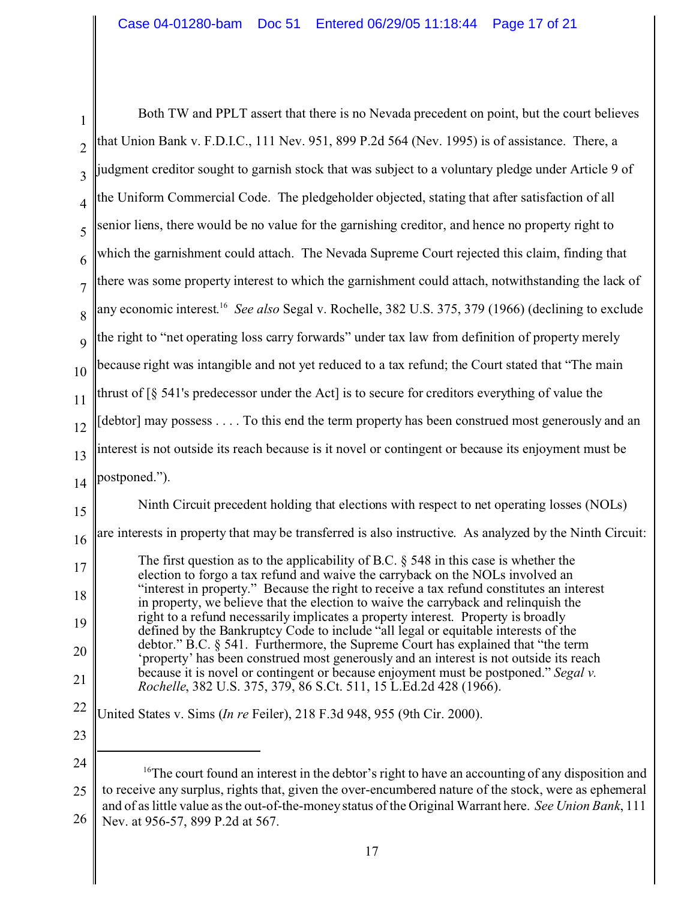|                | Both TW and PPLT assert that there is no Nevada precedent on point, but the court believes                                                                                                                                                                       |
|----------------|------------------------------------------------------------------------------------------------------------------------------------------------------------------------------------------------------------------------------------------------------------------|
| $\overline{2}$ | that Union Bank v. F.D.I.C., 111 Nev. 951, 899 P.2d 564 (Nev. 1995) is of assistance. There, a                                                                                                                                                                   |
| 3              | judgment creditor sought to garnish stock that was subject to a voluntary pledge under Article 9 of                                                                                                                                                              |
| 4              | the Uniform Commercial Code. The pledgeholder objected, stating that after satisfaction of all                                                                                                                                                                   |
| 5              | senior liens, there would be no value for the garnishing creditor, and hence no property right to                                                                                                                                                                |
| 6              | which the garnishment could attach. The Nevada Supreme Court rejected this claim, finding that                                                                                                                                                                   |
| $\overline{7}$ | there was some property interest to which the garnishment could attach, notwithstanding the lack of                                                                                                                                                              |
| 8              | any economic interest. <sup>16</sup> See also Segal v. Rochelle, 382 U.S. 375, 379 (1966) (declining to exclude                                                                                                                                                  |
| 9              | the right to "net operating loss carry forwards" under tax law from definition of property merely                                                                                                                                                                |
| 10             | because right was intangible and not yet reduced to a tax refund; the Court stated that "The main                                                                                                                                                                |
| 11             | thrust of [§ 541's predecessor under the Act] is to secure for creditors everything of value the                                                                                                                                                                 |
| 12             | [debtor] may possess To this end the term property has been construed most generously and an                                                                                                                                                                     |
| 13             | interest is not outside its reach because is it novel or contingent or because its enjoyment must be                                                                                                                                                             |
| 14             | postponed.").                                                                                                                                                                                                                                                    |
| 15             | Ninth Circuit precedent holding that elections with respect to net operating losses (NOLs)                                                                                                                                                                       |
| 16             | are interests in property that may be transferred is also instructive. As analyzed by the Ninth Circuit:                                                                                                                                                         |
| 17             | The first question as to the applicability of B.C. $\S$ 548 in this case is whether the                                                                                                                                                                          |
| 18             | election to forgo a tax refund and waive the carryback on the NOLs involved an<br>"interest in property." Because the right to receive a tax refund constitutes an interest                                                                                      |
| 19             | in property, we believe that the election to waive the carryback and relinquish the<br>right to a refund necessarily implicates a property interest. Property is broadly                                                                                         |
| 20             | defined by the Bankruptcy Code to include "all legal or equitable interests of the<br>debtor." B.C. § 541. Furthermore, the Supreme Court has explained that "the term<br>'property' has been construed most generously and an interest is not outside its reach |
| 21             | because it is novel or contingent or because enjoyment must be postponed." Segal v.<br>Rochelle, 382 U.S. 375, 379, 86 S.Ct. 511, 15 L.Ed.2d 428 (1966).                                                                                                         |
| 22             | United States v. Sims (In re Feiler), 218 F.3d 948, 955 (9th Cir. 2000).                                                                                                                                                                                         |
| 23             |                                                                                                                                                                                                                                                                  |
| 24             |                                                                                                                                                                                                                                                                  |
| 25             | <sup>16</sup> The court found an interest in the debtor's right to have an accounting of any disposition and<br>to receive any surplus, rights that, given the over-encumbered nature of the stock, were as ephemeral                                            |
|                | and of as little value as the out-of-the-money status of the Original Warrant here. See Union Bank, 111                                                                                                                                                          |

<sup>26</sup> Nev. at 956-57, 899 P.2d at 567.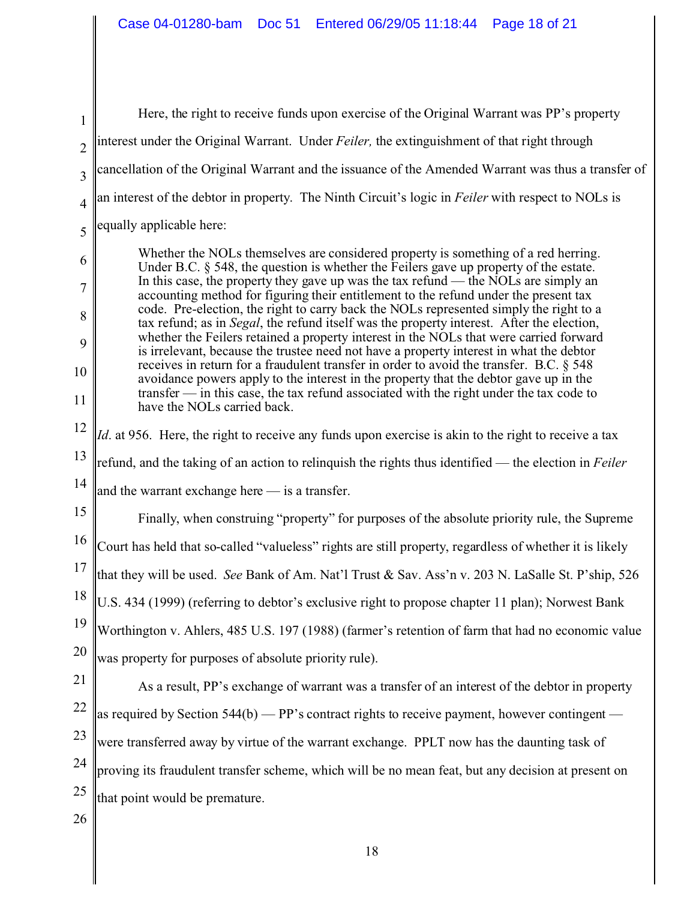1  $\mathfrak{D}$ 3 4 5 6 7 8 9 10 11 12 13 14 15 16 17 18 19 20 21 22 23 24 25 26 Here, the right to receive funds upon exercise of the Original Warrant was PP's property interest under the Original Warrant. Under *Feiler,* the extinguishment of that right through cancellation of the Original Warrant and the issuance of the Amended Warrant was thus a transfer of an interest of the debtor in property. The Ninth Circuit's logic in *Feiler* with respect to NOLs is equally applicable here: Whether the NOLs themselves are considered property is something of a red herring. Under B.C. § 548, the question is whether the Feilers gave up property of the estate. In this case, the property they gave up was the tax refund — the NOLs are simply an accounting method for figuring their entitlement to the refund under the present tax code. Pre-election, the right to carry back the NOLs represented simply the right to a tax refund; as in *Segal*, the refund itself was the property interest. After the election, whether the Feilers retained a property interest in the NOLs that were carried forward is irrelevant, because the trustee need not have a property interest in what the debtor receives in return for a fraudulent transfer in order to avoid the transfer. B.C. § 548 avoidance powers apply to the interest in the property that the debtor gave up in the transfer — in this case, the tax refund associated with the right under the tax code to have the NOLs carried back. *Id*. at 956. Here, the right to receive any funds upon exercise is akin to the right to receive a tax refund, and the taking of an action to relinquish the rights thus identified — the election in *Feiler* and the warrant exchange here — is a transfer. Finally, when construing "property" for purposes of the absolute priority rule, the Supreme Court has held that so-called "valueless" rights are still property, regardless of whether it is likely that they will be used. *See* Bank of Am. Nat'l Trust & Sav. Ass'n v. 203 N. LaSalle St. P'ship, 526 U.S. 434 (1999) (referring to debtor's exclusive right to propose chapter 11 plan); Norwest Bank Worthington v. Ahlers, 485 U.S. 197 (1988) (farmer's retention of farm that had no economic value was property for purposes of absolute priority rule). As a result, PP's exchange of warrant was a transfer of an interest of the debtor in property as required by Section  $544(b)$  — PP's contract rights to receive payment, however contingent were transferred away by virtue of the warrant exchange. PPLT now has the daunting task of proving its fraudulent transfer scheme, which will be no mean feat, but any decision at present on that point would be premature.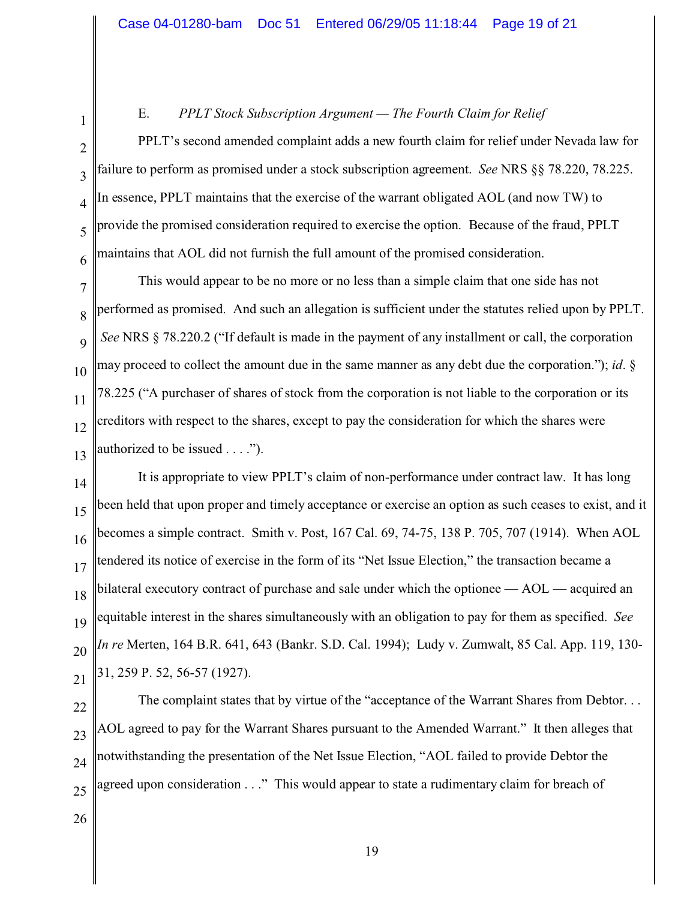## E. *PPLT Stock Subscription Argument — The Fourth Claim for Relief*

PPLT's second amended complaint adds a new fourth claim for relief under Nevada law for failure to perform as promised under a stock subscription agreement. *See* NRS §§ 78.220, 78.225. In essence, PPLT maintains that the exercise of the warrant obligated AOL (and now TW) to provide the promised consideration required to exercise the option. Because of the fraud, PPLT maintains that AOL did not furnish the full amount of the promised consideration.

7 8  $\mathbf Q$ 10 11 12 13 This would appear to be no more or no less than a simple claim that one side has not performed as promised. And such an allegation is sufficient under the statutes relied upon by PPLT. *See* NRS § 78.220.2 ("If default is made in the payment of any installment or call, the corporation may proceed to collect the amount due in the same manner as any debt due the corporation."); *id*. § 78.225 ("A purchaser of shares of stock from the corporation is not liable to the corporation or its creditors with respect to the shares, except to pay the consideration for which the shares were authorized to be issued . . . .").

14 15 16 17 18 19 20 21 It is appropriate to view PPLT's claim of non-performance under contract law. It has long been held that upon proper and timely acceptance or exercise an option as such ceases to exist, and it becomes a simple contract. Smith v. Post, 167 Cal. 69, 74-75, 138 P. 705, 707 (1914). When AOL tendered its notice of exercise in the form of its "Net Issue Election," the transaction became a bilateral executory contract of purchase and sale under which the optionee — AOL — acquired an equitable interest in the shares simultaneously with an obligation to pay for them as specified. *See In re* Merten, 164 B.R. 641, 643 (Bankr. S.D. Cal. 1994); Ludy v. Zumwalt, 85 Cal. App. 119, 130- 31, 259 P. 52, 56-57 (1927).

22 23 24 25 The complaint states that by virtue of the "acceptance of the Warrant Shares from Debtor. . . AOL agreed to pay for the Warrant Shares pursuant to the Amended Warrant." It then alleges that notwithstanding the presentation of the Net Issue Election, "AOL failed to provide Debtor the agreed upon consideration . . ." This would appear to state a rudimentary claim for breach of

26

1

2

3

4

5

6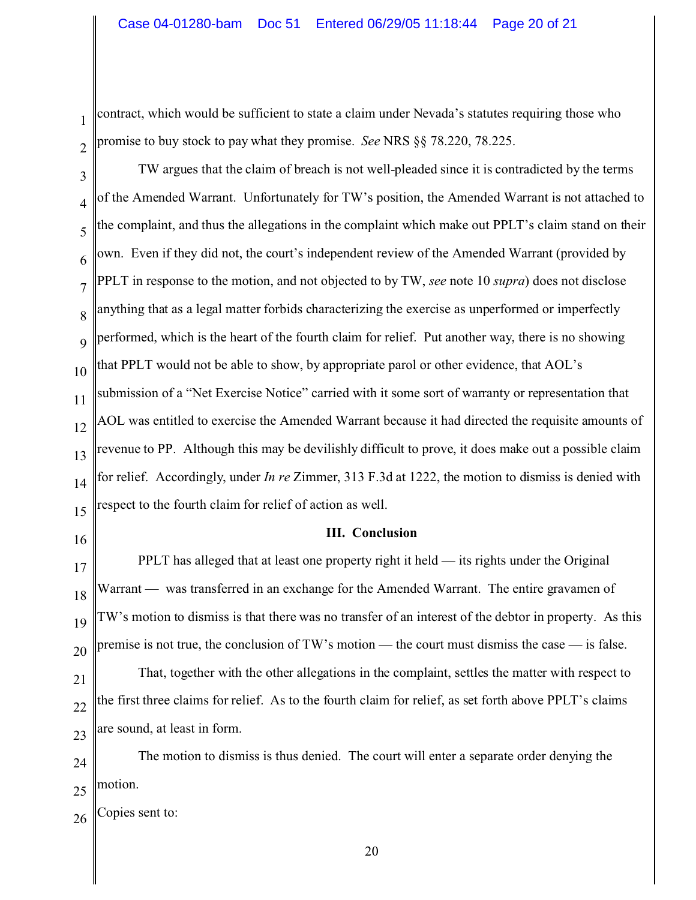contract, which would be sufficient to state a claim under Nevada's statutes requiring those who promise to buy stock to pay what they promise. *See* NRS §§ 78.220, 78.225.

3 4 5 6 7 8 9 10 11 12 13 14 15 TW argues that the claim of breach is not well-pleaded since it is contradicted by the terms of the Amended Warrant. Unfortunately for TW's position, the Amended Warrant is not attached to the complaint, and thus the allegations in the complaint which make out PPLT's claim stand on their own. Even if they did not, the court's independent review of the Amended Warrant (provided by PPLT in response to the motion, and not objected to by TW, *see* note 10 *supra*) does not disclose anything that as a legal matter forbids characterizing the exercise as unperformed or imperfectly performed, which is the heart of the fourth claim for relief. Put another way, there is no showing that PPLT would not be able to show, by appropriate parol or other evidence, that AOL's submission of a "Net Exercise Notice" carried with it some sort of warranty or representation that AOL was entitled to exercise the Amended Warrant because it had directed the requisite amounts of revenue to PP. Although this may be devilishly difficult to prove, it does make out a possible claim for relief. Accordingly, under *In re* Zimmer, 313 F.3d at 1222, the motion to dismiss is denied with respect to the fourth claim for relief of action as well.

16

1

2

17

18

19

20

TW's motion to dismiss is that there was no transfer of an interest of the debtor in property. As this premise is not true, the conclusion of TW's motion — the court must dismiss the case — is false.

Warrant — was transferred in an exchange for the Amended Warrant. The entire gravamen of

**III. Conclusion**

PPLT has alleged that at least one property right it held — its rights under the Original

21 22 23 That, together with the other allegations in the complaint, settles the matter with respect to the first three claims for relief. As to the fourth claim for relief, as set forth above PPLT's claims are sound, at least in form.

24 25 The motion to dismiss is thus denied. The court will enter a separate order denying the motion.

26 Copies sent to: